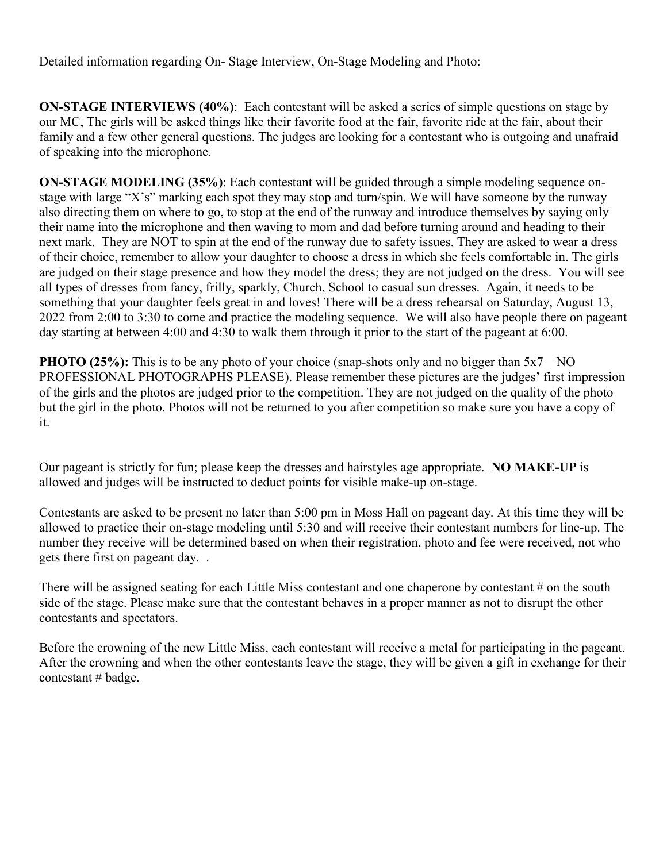Detailed information regarding On- Stage Interview, On-Stage Modeling and Photo:

**ON-STAGE INTERVIEWS (40%)**: Each contestant will be asked a series of simple questions on stage by our MC, The girls will be asked things like their favorite food at the fair, favorite ride at the fair, about their family and a few other general questions. The judges are looking for a contestant who is outgoing and unafraid of speaking into the microphone.

**ON-STAGE MODELING (35%)**: Each contestant will be guided through a simple modeling sequence onstage with large "X's" marking each spot they may stop and turn/spin. We will have someone by the runway also directing them on where to go, to stop at the end of the runway and introduce themselves by saying only their name into the microphone and then waving to mom and dad before turning around and heading to their next mark. They are NOT to spin at the end of the runway due to safety issues. They are asked to wear a dress of their choice, remember to allow your daughter to choose a dress in which she feels comfortable in. The girls are judged on their stage presence and how they model the dress; they are not judged on the dress. You will see all types of dresses from fancy, frilly, sparkly, Church, School to casual sun dresses. Again, it needs to be something that your daughter feels great in and loves! There will be a dress rehearsal on Saturday, August 13, 2022 from 2:00 to 3:30 to come and practice the modeling sequence. We will also have people there on pageant day starting at between 4:00 and 4:30 to walk them through it prior to the start of the pageant at 6:00.

**PHOTO (25%):** This is to be any photo of your choice (snap-shots only and no bigger than  $5x7 - NO$ PROFESSIONAL PHOTOGRAPHS PLEASE). Please remember these pictures are the judges' first impression of the girls and the photos are judged prior to the competition. They are not judged on the quality of the photo but the girl in the photo. Photos will not be returned to you after competition so make sure you have a copy of it.

Our pageant is strictly for fun; please keep the dresses and hairstyles age appropriate. **NO MAKE-UP** is allowed and judges will be instructed to deduct points for visible make-up on-stage.

Contestants are asked to be present no later than 5:00 pm in Moss Hall on pageant day. At this time they will be allowed to practice their on-stage modeling until 5:30 and will receive their contestant numbers for line-up. The number they receive will be determined based on when their registration, photo and fee were received, not who gets there first on pageant day. .

There will be assigned seating for each Little Miss contestant and one chaperone by contestant # on the south side of the stage. Please make sure that the contestant behaves in a proper manner as not to disrupt the other contestants and spectators.

Before the crowning of the new Little Miss, each contestant will receive a metal for participating in the pageant. After the crowning and when the other contestants leave the stage, they will be given a gift in exchange for their contestant # badge.